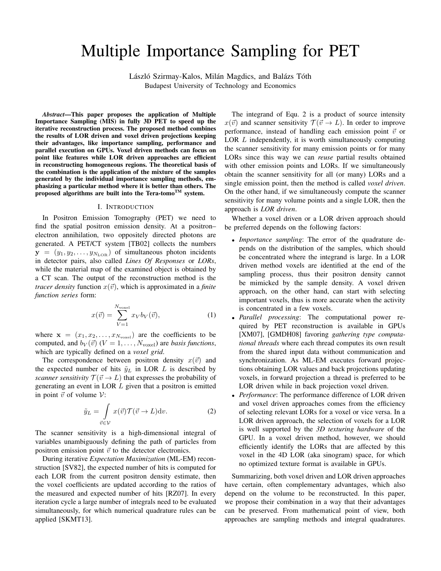# Multiple Importance Sampling for PET

László Szirmay-Kalos, Milán Magdics, and Balázs Tóth Budapest University of Technology and Economics

*Abstract*—This paper proposes the application of Multiple Importance Sampling (MIS) in fully 3D PET to speed up the iterative reconstruction process. The proposed method combines the results of LOR driven and voxel driven projections keeping their advantages, like importance sampling, performance and parallel execution on GPUs. Voxel driven methods can focus on point like features while LOR driven approaches are efficient in reconstructing homogeneous regions. The theoretical basis of the combination is the application of the mixture of the samples generated by the individual importance sampling methods, emphasizing a particular method where it is better than others. The proposed algorithms are built into the Tera-tomo<sup>TM</sup> system.

#### I. INTRODUCTION

In Positron Emission Tomography (PET) we need to find the spatial positron emission density. At a positron– electron annihilation, two oppositely directed photons are generated. A PET/CT system [TB02] collects the numbers  $y = (y_1, y_2, \dots, y_{N_{\text{LOR}}})$  of simultaneous photon incidents in detector pairs, also called *Lines Of Responses* or *LORs*, while the material map of the examined object is obtained by a CT scan. The output of the reconstruction method is the *tracer density* function  $x(\vec{v})$ , which is approximated in a *finite function series* form:

$$
x(\vec{v}) = \sum_{V=1}^{N_{\text{voxel}}} x_V b_V(\vec{v}), \tag{1}
$$

where  $\mathbf{x} = (x_1, x_2, \dots, x_{N_{\text{voxel}}})$  are the coefficients to be computed, and  $b_V(\vec{v})$  ( $V = 1, \ldots, N_{\text{voxel}}$ ) are *basis functions*, which are typically defined on a *voxel grid*.

The correspondence between positron density  $x(\vec{v})$  and the expected number of hits  $\tilde{y}_L$  in LOR  $L$  is described by *scanner sensitivity*  $\mathcal{T}(\vec{v} \to L)$  that expresses the probability of generating an event in LOR *L* given that a positron is emitted in point  $\vec{v}$  of volume  $\mathcal{V}$ :

$$
\tilde{y}_L = \int\limits_{\vec{v} \in \mathcal{V}} x(\vec{v}) \mathcal{T}(\vec{v} \to L) \mathrm{d}v.
$$
 (2)

The scanner sensitivity is a high-dimensional integral of variables unambiguously defining the path of particles from positron emission point  $\vec{v}$  to the detector electronics.

During iterative *Expectation Maximization* (ML-EM) reconstruction [SV82], the expected number of hits is computed for each LOR from the current positron density estimate, then the voxel coefficients are updated according to the ratios of the measured and expected number of hits [RZ07]. In every iteration cycle a large number of integrals need to be evaluated simultaneously, for which numerical quadrature rules can be applied [SKMT13].

The integrand of Equ. 2 is a product of source intensity  $x(\vec{v})$  and scanner sensitivity  $\mathcal{T}(\vec{v} \to L)$ . In order to improve performance, instead of handling each emission point  $\vec{v}$  or LOR *L* independently, it is worth simultaneously computing the scanner sensitivity for many emission points or for many LORs since this way we can *reuse* partial results obtained with other emission points and LORs. If we simultaneously obtain the scanner sensitivity for all (or many) LORs and a single emission point, then the method is called *voxel driven*. On the other hand, if we simultaneously compute the scanner sensitivity for many volume points and a single LOR, then the approach is *LOR driven*.

Whether a voxel driven or a LOR driven approach should be preferred depends on the following factors:

- *• Importance sampling*: The error of the quadrature depends on the distribution of the samples, which should be concentrated where the integrand is large. In a LOR driven method voxels are identified at the end of the sampling process, thus their positron density cannot be mimicked by the sample density. A voxel driven approach, on the other hand, can start with selecting important voxels, thus is more accurate when the activity is concentrated in a few voxels.
- *• Parallel processing*: The computational power required by PET reconstruction is available in GPUs [XM07], [GMDH08] favoring *gathering type computational threads* where each thread computes its own result from the shared input data without communication and synchronization. As ML-EM executes forward projections obtaining LOR values and back projections updating voxels, in forward projection a thread is preferred to be LOR driven while in back projection voxel driven.
- *• Performance*: The performance difference of LOR driven and voxel driven approaches comes from the efficiency of selecting relevant LORs for a voxel or vice versa. In a LOR driven approach, the selection of voxels for a LOR is well supported by the *3D texturing hardware* of the GPU. In a voxel driven method, however, we should efficiently identify the LORs that are affected by this voxel in the 4D LOR (aka sinogram) space, for which no optimized texture format is available in GPUs.

Summarizing, both voxel driven and LOR driven approaches have certain, often complementary advantages, which also depend on the volume to be reconstructed. In this paper, we propose their combination in a way that their advantages can be preserved. From mathematical point of view, both approaches are sampling methods and integral quadratures.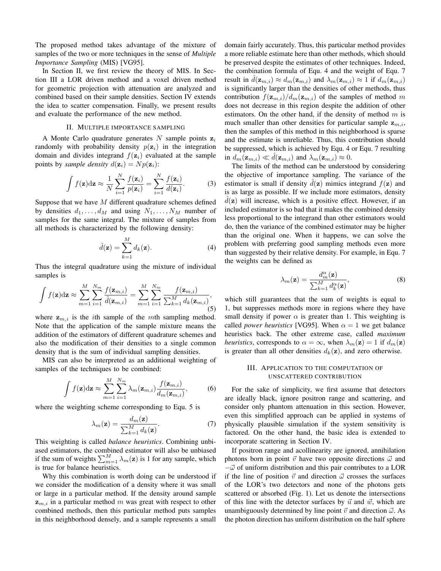The proposed method takes advantage of the mixture of samples of the two or more techniques in the sense of *Multiple Importance Sampling* (MIS) [VG95].

In Section II, we first review the theory of MIS. In Section III a LOR driven method and a voxel driven method for geometric projection with attenuation are analyzed and combined based on their sample densities. Section IV extends the idea to scatter compensation. Finally, we present results and evaluate the performance of the new method.

# II. MULTIPLE IMPORTANCE SAMPLING

A Monte Carlo quadrature generates *N* sample points **z***<sup>i</sup>* randomly with probability density  $p(\mathbf{z}_i)$  in the integration domain and divides integrand  $f(\mathbf{z}_i)$  evaluated at the sample points by *sample density*  $d(\mathbf{z}_i) = Np(\mathbf{z}_i)$ :

$$
\int f(\mathbf{z}) d\mathbf{z} \approx \frac{1}{N} \sum_{i=1}^{N} \frac{f(\mathbf{z}_i)}{p(\mathbf{z}_i)} = \sum_{i=1}^{N} \frac{f(\mathbf{z}_i)}{d(\mathbf{z}_i)}.
$$
 (3)

Suppose that we have *M* different quadrature schemes defined by densities  $d_1, \ldots, d_M$  and using  $N_1, \ldots, N_M$  number of samples for the same integral. The mixture of samples from all methods is characterized by the following density:

$$
\hat{d}(\mathbf{z}) = \sum_{k=1}^{M} d_k(\mathbf{z}).
$$
\n(4)

Thus the integral quadrature using the mixture of individual samples is

$$
\int f(\mathbf{z}) d\mathbf{z} \approx \sum_{m=1}^{M} \sum_{i=1}^{N_m} \frac{f(\mathbf{z}_{m,i})}{\hat{d}(\mathbf{z}_{m,i})} = \sum_{m=1}^{M} \sum_{i=1}^{N_m} \frac{f(\mathbf{z}_{m,i})}{\sum_{k=1}^{M} d_k(\mathbf{z}_{m,i})},
$$
(5)

where  $z_{m,i}$  is the *i*th sample of the *mth* sampling method. Note that the application of the sample mixture means the addition of the estimators of different quadrature schemes and also the modification of their densities to a single common density that is the sum of individual sampling densities.

MIS can also be interpreted as an additional weighting of samples of the techniques to be combined:

$$
\int f(\mathbf{z}) d\mathbf{z} \approx \sum_{m=1}^{M} \sum_{i=1}^{N_m} \lambda_m(\mathbf{z}_{m,i}) \frac{f(\mathbf{z}_{m,i})}{d_m(\mathbf{z}_{m,i})},
$$
(6)

where the weighting scheme corresponding to Equ. 5 is

$$
\lambda_m(\mathbf{z}) = \frac{d_m(\mathbf{z})}{\sum_{k=1}^M d_k(\mathbf{z})}.
$$
 (7)

This weighting is called *balance heuristics*. Combining unbiased estimators, the combined estimator will also be unbiased if the sum of weights  $\sum_{m=1}^{M} \lambda_m(\mathbf{z})$  is 1 for any sample, which is true for balance heuristics.

Why this combination is worth doing can be understood if we consider the modification of a density where it was small or large in a particular method. If the density around sample **z***m,i* in a particular method *m* was great with respect to other combined methods, then this particular method puts samples in this neighborhood densely, and a sample represents a small

domain fairly accurately. Thus, this particular method provides a more reliable estimate here than other methods, which should be preserved despite the estimates of other techniques. Indeed, the combination formula of Equ. 4 and the weight of Equ. 7 result in  $d(\mathbf{z}_{m,i}) \approx d_m(\mathbf{z}_{m,i})$  and  $\lambda_m(\mathbf{z}_{m,i}) \approx 1$  if  $d_m(\mathbf{z}_{m,i})$ is significantly larger than the densities of other methods, thus contribution  $f(\mathbf{z}_{m,i})/d_m(\mathbf{z}_{m,i})$  of the samples of method *m* does not decrease in this region despite the addition of other estimators. On the other hand, if the density of method *m* is much smaller than other densities for particular sample  $z_{m,i}$ , then the samples of this method in this neighborhood is sparse and the estimate is unreliable. Thus, this contribution should be suppressed, which is achieved by Equ. 4 or Equ. 7 resulting in  $d_m(\mathbf{z}_{m,i}) \ll d(\mathbf{z}_{m,i})$  and  $\lambda_m(\mathbf{z}_{m,i}) \approx 0$ .

The limits of the method can be understood by considering the objective of importance sampling. The variance of the estimator is small if density  $d(\mathbf{z})$  mimics integrand  $f(\mathbf{z})$  and is as large as possible. If we include more estimators, density  $d(\mathbf{z})$  will increase, which is a positive effect. However, if an included estimator is so bad that it makes the combined density less proportional to the integrand than other estimators would do, then the variance of the combined estimator may be higher than the original one. When it happens, we can solve the problem with preferring good sampling methods even more than suggested by their relative density. For example, in Equ. 7 the weights can be defined as

$$
\lambda_m(\mathbf{z}) = \frac{d_m^{\alpha}(\mathbf{z})}{\sum_{k=1}^M d_k^{\alpha}(\mathbf{z})},\tag{8}
$$

which still guarantees that the sum of weights is equal to 1, but suppresses methods more in regions where they have small density if power  $\alpha$  is greater than 1. This weighting is called *power heuristics* [VG95]. When  $\alpha = 1$  we get balance heuristics back. The other extreme case, called *maximum heuristics*, corresponds to  $\alpha = \infty$ , when  $\lambda_m(\mathbf{z}) = 1$  if  $d_m(\mathbf{z})$ is greater than all other densities  $d_k(z)$ , and zero otherwise.

## III. APPLICATION TO THE COMPUTATION OF UNSCATTERED CONTRIBUTION

For the sake of simplicity, we first assume that detectors are ideally black, ignore positron range and scattering, and consider only phantom attenuation in this section. However, even this simplified approach can be applied in systems of physically plausible simulation if the system sensitivity is factored. On the other hand, the basic idea is extended to incorporate scattering in Section IV.

If positron range and acollinearity are ignored, annihilation photons born in point  $\vec{v}$  have two opposite directions  $\vec{\omega}$  and *−⃗ω* of uniform distribution and this pair contributes to a LOR if the line of position  $\vec{v}$  and direction  $\vec{\omega}$  crosses the surfaces of the LOR's two detectors and none of the photons gets scattered or absorbed (Fig. 1). Let us denote the intersections of this line with the detector surfaces by  $\vec{u}$  and  $\vec{w}$ , which are unambiguously determined by line point  $\vec{v}$  and direction  $\vec{\omega}$ . As the photon direction has uniform distribution on the half sphere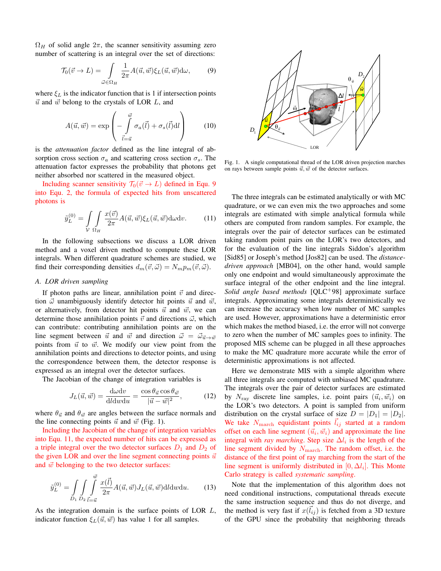$\Omega_H$  of solid angle  $2\pi$ , the scanner sensitivity assuming zero number of scattering is an integral over the set of directions:

$$
\mathcal{T}_0(\vec{v} \to L) = \int\limits_{\vec{\omega} \in \Omega_H} \frac{1}{2\pi} A(\vec{u}, \vec{w}) \xi_L(\vec{u}, \vec{w}) d\omega, \tag{9}
$$

where  $\xi_L$  is the indicator function that is 1 if intersection points  $\vec{u}$  and  $\vec{w}$  belong to the crystals of LOR  $L$ , and

$$
A(\vec{u}, \vec{w}) = \exp\left(-\int\limits_{\vec{l}=\vec{u}}^{\vec{w}} \sigma_a(\vec{l}) + \sigma_s(\vec{l}) \mathrm{d}\vec{l}\right) \tag{10}
$$

is the *attenuation factor* defined as the line integral of absorption cross section  $\sigma_a$  and scattering cross section  $\sigma_s$ . The attenuation factor expresses the probability that photons get neither absorbed nor scattered in the measured object.

Including scanner sensitivity  $\mathcal{T}_0(\vec{v} \to L)$  defined in Equ. 9 into Equ. 2, the formula of expected hits from unscattered photons is

$$
\tilde{y}_L^{(0)} = \int\limits_V \int\limits_{\Omega_H} \frac{x(\vec{v})}{2\pi} A(\vec{u}, \vec{w}) \xi_L(\vec{u}, \vec{w}) \, d\omega \, dv. \tag{11}
$$

In the following subsections we discuss a LOR driven method and a voxel driven method to compute these LOR integrals. When different quadrature schemes are studied, we find their corresponding densities  $d_m(\vec{v}, \vec{\omega}) = N_m p_m(\vec{v}, \vec{\omega}).$ 

### *A. LOR driven sampling*

If photon paths are linear, annihilation point  $\vec{v}$  and direction  $\vec{\omega}$  unambiguously identify detector hit points  $\vec{u}$  and  $\vec{w}$ , or alternatively, from detector hit points  $\vec{u}$  and  $\vec{w}$ , we can determine those annihilation points  $\vec{v}$  and directions  $\vec{\omega}$ , which can contribute: contributing annihilation points are on the line segment between  $\vec{u}$  and  $\vec{w}$  and direction  $\vec{\omega} = \vec{\omega}_{\vec{u} \to \vec{w}}$ points from  $\vec{u}$  to  $\vec{w}$ . We modify our view point from the annihilation points and directions to detector points, and using the correspondence between them, the detector response is expressed as an integral over the detector surfaces.

The Jacobian of the change of integration variables is

$$
J_L(\vec{u}, \vec{w}) = \frac{d\omega dv}{dldw du} = \frac{\cos \theta_{\vec{u}} \cos \theta_{\vec{w}}}{|\vec{u} - \vec{w}|^2},
$$
(12)

where  $\theta_{\vec{u}}$  and  $\theta_{\vec{w}}$  are angles between the surface normals and the line connecting points  $\vec{u}$  and  $\vec{w}$  (Fig. 1).

Including the Jacobian of the change of integration variables into Equ. 11, the expected number of hits can be expressed as a triple integral over the two detector surfaces  $D_1$  and  $D_2$  of the given LOR and over the line segment connecting points  $\vec{u}$ and  $\vec{w}$  belonging to the two detector surfaces:

$$
\tilde{y}_L^{(0)} = \int_{D_1} \int_{D_2} \int_{\vec{l} = \vec{u}}^{\vec{w}} \frac{x(\vec{l})}{2\pi} A(\vec{u}, \vec{w}) J_L(\vec{u}, \vec{w}) \, \mathrm{d}l \, \mathrm{d}w \, \mathrm{d}u. \tag{13}
$$

As the integration domain is the surface points of LOR *L*, indicator function  $\xi_L(\vec{u}, \vec{w})$  has value 1 for all samples.



Fig. 1. A single computational thread of the LOR driven projection marches on rays between sample points  $\vec{u}, \vec{w}$  of the detector surfaces.

The three integrals can be estimated analytically or with MC quadrature, or we can even mix the two approaches and some integrals are estimated with simple analytical formula while others are computed from random samples. For example, the integrals over the pair of detector surfaces can be estimated taking random point pairs on the LOR's two detectors, and for the evaluation of the line integrals Siddon's algorithm [Sid85] or Joseph's method [Jos82] can be used. The *distancedriven approach* [MB04], on the other hand, would sample only one endpoint and would simultaneously approximate the surface integral of the other endpoint and the line integral. *Solid angle based methods* [QLC<sup>+</sup>98] approximate surface integrals. Approximating some integrals deterministically we can increase the accuracy when low number of MC samples are used. However, approximations have a deterministic error which makes the method biased, i.e. the error will not converge to zero when the number of MC samples goes to infinity. The proposed MIS scheme can be plugged in all these approaches to make the MC quadrature more accurate while the error of deterministic approximations is not affected.

Here we demonstrate MIS with a simple algorithm where all three integrals are computed with unbiased MC quadrature. The integrals over the pair of detector surfaces are estimated by  $N_{\text{ray}}$  discrete line samples, i.e. point pairs  $(\vec{u}_i, \vec{w}_i)$  on the LOR's two detectors. A point is sampled from uniform distribution on the crystal surface of size  $D = |D_1| = |D_2|$ . We take  $N_{\text{march}}$  equidistant points  $l_{ij}$  started at a random offset on each line segment  $(\vec{u}_i, \vec{w}_i)$  and approximate the line integral with *ray marching*. Step size  $\Delta l_i$  is the length of the line segment divided by  $N_{\text{march}}$ . The random offset, i.e. the distance of the first point of ray marching from the start of the line segment is uniformly distributed in  $[0, \Delta l_i]$ . This Monte Carlo strategy is called *systematic sampling*.

Note that the implementation of this algorithm does not need conditional instructions, computational threads execute the same instruction sequence and thus do not diverge, and the method is very fast if  $x(\vec{l}_{ij})$  is fetched from a 3D texture of the GPU since the probability that neighboring threads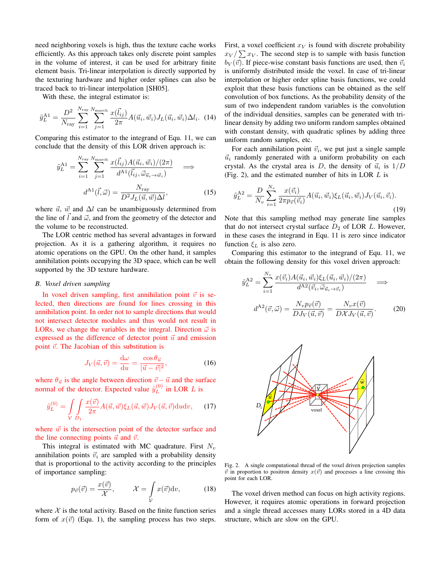need neighboring voxels is high, thus the texture cache works efficiently. As this approach takes only discrete point samples in the volume of interest, it can be used for arbitrary finite element basis. Tri-linear interpolation is directly supported by the texturing hardware and higher order splines can also be traced back to tri-linear interpolation [SH05].

With these, the integral estimator is:

$$
\tilde{y}_L^{\text{A1}} = \frac{D^2}{N_{\text{ray}}} \sum_{i=1}^{N_{\text{ray}}} \sum_{j=1}^{N_{\text{march}}} \frac{x(\vec{l}_{ij})}{2\pi} A(\vec{u}_i, \vec{w}_i) J_L(\vec{u}_i, \vec{w}_i) \Delta l_i.
$$
 (14)

Comparing this estimator to the integrand of Equ. 11, we can conclude that the density of this LOR driven approach is:

$$
\tilde{y}_L^{\text{A1}} = \sum_{i=1}^{N_{\text{ray}}}\sum_{j=1}^{N_{\text{macro}}} \frac{x(\vec{l}_{ij})A(\vec{u}_i, \vec{w}_i)/(2\pi)}{d^{\text{A1}}(\vec{l}_{ij}, \vec{\omega}_{\vec{u}_i \to \vec{w}_i})} \implies
$$
\n
$$
d^{\text{A1}}(\vec{l}, \vec{\omega}) = \frac{N_{\text{ray}}}{D^2 J_L(\vec{u}, \vec{w}) \Delta l}, \tag{15}
$$

where  $\vec{u}$ ,  $\vec{w}$  and  $\Delta l$  can be unambiguously determined from the line of  $\vec{l}$  and  $\vec{\omega}$ , and from the geometry of the detector and the volume to be reconstructed.

The LOR centric method has several advantages in forward projection. As it is a gathering algorithm, it requires no atomic operations on the GPU. On the other hand, it samples annihilation points occupying the 3D space, which can be well supported by the 3D texture hardware.

#### *B. Voxel driven sampling*

In voxel driven sampling, first annihilation point  $\vec{v}$  is selected, then directions are found for lines crossing in this annihilation point. In order not to sample directions that would not intersect detector modules and thus would not result in LORs, we change the variables in the integral. Direction  $\vec{\omega}$  is expressed as the difference of detector point  $\vec{u}$  and emission point  $\vec{v}$ . The Jacobian of this substitution is

$$
J_V(\vec{u}, \vec{v}) = \frac{d\omega}{du} = \frac{\cos \theta_{\vec{u}}}{|\vec{u} - \vec{v}|^2},
$$
(16)

where  $\theta_{\vec{u}}$  is the angle between direction  $\vec{v} - \vec{u}$  and the surface normal of the detector. Expected value  $\tilde{y}_L^{(0)}$  $L^{(0)}$  in LOR *L* is

$$
\tilde{y}_L^{(0)} = \int\limits_V \int\limits_{D_1} \frac{x(\vec{v})}{2\pi} A(\vec{u}, \vec{w}) \xi_L(\vec{u}, \vec{w}) J_V(\vec{u}, \vec{v}) \, \mathrm{d}u \mathrm{d}v,\qquad(17)
$$

where  $\vec{w}$  is the intersection point of the detector surface and the line connecting points  $\vec{u}$  and  $\vec{v}$ .

This integral is estimated with MC quadrature. First *N<sup>v</sup>* annihilation points  $\vec{v}_i$  are sampled with a probability density that is proportional to the activity according to the principles of importance sampling:

$$
p_{\vec{v}}(\vec{v}) = \frac{x(\vec{v})}{\mathcal{X}}, \qquad \mathcal{X} = \int_{\mathcal{V}} x(\vec{v}) \mathrm{d}v, \tag{18}
$$

where  $X$  is the total activity. Based on the finite function series form of  $x(\vec{v})$  (Equ. 1), the sampling process has two steps. First, a voxel coefficient  $x_V$  is found with discrete probability  $x_V / \sum x_V$ . The second step is to sample with basis function  $b_V(\vec{v})$ . If piece-wise constant basis functions are used, then  $\vec{v}_i$ is uniformly distributed inside the voxel. In case of tri-linear interpolation or higher order spline basis functions, we could exploit that these basis functions can be obtained as the self convolution of box functions. As the probability density of the sum of two independent random variables is the convolution of the individual densities, samples can be generated with trilinear density by adding two uniform random samples obtained with constant density, with quadratic splines by adding three uniform random samples, etc.

For each annihilation point  $\vec{v}_i$ , we put just a single sample  $\vec{u}_i$  randomly generated with a uniform probability on each crystal. As the crystal area is *D*, the density of  $\vec{u}_i$  is  $1/D$ (Fig. 2), and the estimated number of hits in LOR *L* is

$$
\tilde{y}_L^{\text{A2}} = \frac{D}{N_v} \sum_{i=1}^{N_v} \frac{x(\vec{v}_i)}{2\pi p_{\vec{v}}(\vec{v}_i)} A(\vec{u}_i, \vec{w}_i) \xi_L(\vec{u}_i, \vec{w}_i) J_V(\vec{u}_i, \vec{v}_i). \tag{19}
$$

Note that this sampling method may generate line samples that do not intersect crystal surface  $D_2$  of LOR  $L$ . However, in these cases the integrand in Equ. 11 is zero since indicator function *ξ<sup>L</sup>* is also zero.

Comparing this estimator to the integrand of Equ. 11, we obtain the following density for this voxel driven approach:

$$
\tilde{y}_L^{\mathbf{A}2} = \sum_{i=1}^{N_v} \frac{x(\vec{v}_i) A(\vec{u}_i, \vec{w}_i) \xi_L(\vec{u}_i, \vec{w}_i) / (2\pi)}{d^{\mathbf{A}2}(\vec{v}_i, \vec{\omega}_{\vec{u}_i \to \vec{v}_i})} \implies
$$
\n
$$
d^{\mathbf{A}2}(\vec{v}, \vec{\omega}) = \frac{N_v p_{\vec{v}}(\vec{v})}{DJ_V(\vec{u}, \vec{v})} = \frac{N_v x(\vec{v})}{DX J_V(\vec{u}, \vec{v})}.
$$
\n(20)



Fig. 2. A single computational thread of the voxel driven projection samples  $\vec{v}$  in proportion to positron density  $x(\vec{v})$  and processes a line crossing this point for each LOR.

The voxel driven method can focus on high activity regions. However, it requires atomic operations in forward projection and a single thread accesses many LORs stored in a 4D data structure, which are slow on the GPU.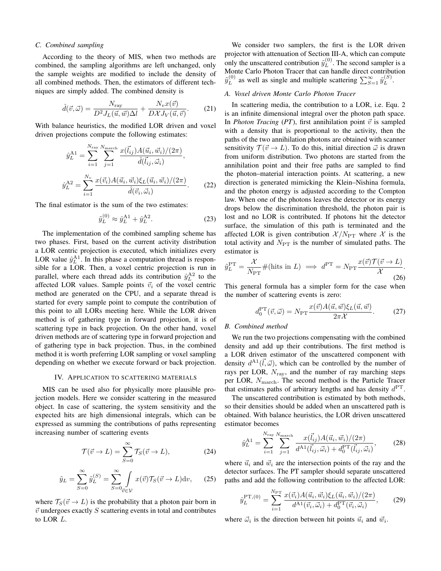#### *C. Combined sampling*

According to the theory of MIS, when two methods are combined, the sampling algorithms are left unchanged, only the sample weights are modified to include the density of all combined methods. Then, the estimators of different techniques are simply added. The combined density is

$$
\hat{d}(\vec{v}, \vec{\omega}) = \frac{N_{\text{ray}}}{D^2 J_L(\vec{u}, \vec{w}) \Delta l} + \frac{N_v x(\vec{v})}{D \mathcal{X} J_V(\vec{u}, \vec{v})}.
$$
(21)

With balance heuristics, the modified LOR driven and voxel driven projections compute the following estimates:

$$
\hat{y}_L^{\text{A1}} = \sum_{i=1}^{N_{\text{ray}}} \sum_{j=1}^{N_{\text{macro}}} \frac{x(\vec{l}_{ij}) A(\vec{u}_i, \vec{w}_i)/(2\pi)}{\hat{d}(\vec{l}_{ij}, \vec{\omega}_i)},
$$
\n
$$
\hat{y}_L^{\text{A2}} = \sum_{i=1}^{N_v} \frac{x(\vec{v}_i) A(\vec{u}_i, \vec{w}_i) \xi_L(\vec{u}_i, \vec{w}_i)/(2\pi)}{\hat{d}(\vec{v}_i, \vec{\omega}_i)}.
$$
\n(22)

The final estimator is the sum of the two estimates:

$$
\tilde{y}_L^{(0)} \approx \hat{y}_L^{A1} + \hat{y}_L^{A2}.
$$
\n(23)

The implementation of the combined sampling scheme has two phases. First, based on the current activity distribution a LOR centric projection is executed, which initializes every LOR value  $\hat{y}_L^{\text{A1}}$ . In this phase a computation thread is responsible for a LOR. Then, a voxel centric projection is run in parallel, where each thread adds its contribution  $\hat{y}_L^{A2}$  to the affected LOR values. Sample points  $\vec{v}_i$  of the voxel centric method are generated on the CPU, and a separate thread is started for every sample point to compute the contribution of this point to all LORs meeting here. While the LOR driven method is of gathering type in forward projection, it is of scattering type in back projection. On the other hand, voxel driven methods are of scattering type in forward projection and of gathering type in back projection. Thus, in the combined method it is worth preferring LOR sampling or voxel sampling depending on whether we execute forward or back projection.

#### IV. APPLICATION TO SCATTERING MATERIALS

MIS can be used also for physically more plausible projection models. Here we consider scattering in the measured object. In case of scattering, the system sensitivity and the expected hits are high dimensional integrals, which can be expressed as summing the contributions of paths representing increasing number of scattering events

$$
\mathcal{T}(\vec{v} \to L) = \sum_{S=0}^{\infty} \mathcal{T}_S(\vec{v} \to L), \tag{24}
$$

$$
\tilde{y}_L = \sum_{S=0}^{\infty} \tilde{y}_L^{(S)} = \sum_{S=0}^{\infty} \int \limits_{\vec{v} \in \mathcal{V}} x(\vec{v}) \mathcal{T}_S(\vec{v} \to L) \mathrm{d}v, \quad (25)
$$

where  $\mathcal{T}_S(\vec{v} \to L)$  is the probability that a photon pair born in  $\vec{v}$  undergoes exactly  $S$  scattering events in total and contributes to LOR *L*.

We consider two samplers, the first is the LOR driven projector with attenuation of Section III-A, which can compute only the unscattered contribution  $\tilde{y}^{(0)}_L$  $L^{(0)}$ . The second sampler is a Monte Carlo Photon Tracer that can handle direct contribution  $\tilde{y}^{(0)}_L$  $L^{(0)}$  as well as single and multiple scattering  $\sum_{S=1}^{\infty} \tilde{y}_L^{(S)}$  $L^{(5)}$ .

#### *A. Voxel driven Monte Carlo Photon Tracer*

In scattering media, the contribution to a LOR, i.e. Equ. 2 is an infinite dimensional integral over the photon path space. In *Photon Tracing* (*PT*), first annihilation point  $\vec{v}$  is sampled with a density that is proportional to the activity, then the paths of the two annihilation photons are obtained with scanner sensitivity  $\mathcal{T}(\vec{v} \to L)$ . To do this, initial direction  $\vec{\omega}$  is drawn from uniform distribution. Two photons are started from the annihilation point and their free paths are sampled to find the photon–material interaction points. At scattering, a new direction is generated mimicking the Klein–Nishina formula, and the photon energy is adjusted according to the Compton law. When one of the photons leaves the detector or its energy drops below the discrimination threshold, the photon pair is lost and no LOR is contributed. If photons hit the detector surface, the simulation of this path is terminated and the affected LOR is given contribution  $\mathcal{X}/N_{\text{PT}}$  where  $\mathcal{X}$  is the total activity and  $N_{\text{PT}}$  is the number of simulated paths. The estimator is

$$
\tilde{y}_L^{\rm PT} = \frac{\mathcal{X}}{N_{\rm PT}} \# \text{(hits in } L) \implies d^{\rm PT} = N_{\rm PT} \frac{x(\vec{v}) \mathcal{T}(\vec{v} \to L)}{\mathcal{X}}.
$$
\n(26)

This general formula has a simpler form for the case when the number of scattering events is zero:

$$
d_0^{\text{PT}}(\vec{v}, \vec{\omega}) = N_{\text{PT}} \frac{x(\vec{v}) A(\vec{u}, \vec{w}) \xi_L(\vec{u}, \vec{w})}{2\pi \mathcal{X}}.
$$
 (27)

#### *B. Combined method*

We run the two projections compensating with the combined density and add up their contributions. The first method is a LOR driven estimator of the unscattered component with density  $d^{A_1}(\vec{l}, \vec{\omega})$ , which can be controlled by the number of rays per LOR, *N*ray, and the number of ray marching steps per LOR, *N*march. The second method is the Particle Tracer that estimates paths of arbitrary lengths and has density *d* PT.

The unscattered contribution is estimated by both methods, so their densities should be added when an unscattered path is obtained. With balance heuristics, the LOR driven unscattered estimator becomes

$$
\hat{y}_L^{\text{A1}} = \sum_{i=1}^{N_{\text{ray}}}\sum_{j=1}^{N_{\text{march}}} \frac{x(\vec{l}_{ij})A(\vec{u}_i, \vec{w}_i)/(2\pi)}{d^{\text{A1}}(\vec{l}_{ij}, \vec{\omega}_i) + d_0^{\text{PT}}(\vec{l}_{ij}, \vec{\omega}_i)},\tag{28}
$$

where  $\vec{u}_i$  and  $\vec{w}_i$  are the intersection points of the ray and the detector surfaces. The PT sampler should separate unscattered paths and add the following contribution to the affected LOR:

$$
\hat{y}_L^{\text{PT},(0)} = \sum_{i=1}^{N_{\text{PT}}} \frac{x(\vec{v}_i) A(\vec{u}_i, \vec{w}_i) \xi_L(\vec{u}_i, \vec{w}_i) / (2\pi)}{d^{\text{AI}}(\vec{v}_i, \vec{\omega}_i) + d_0^{\text{PT}}(\vec{v}_i, \vec{\omega}_i)},\tag{29}
$$

where  $\vec{\omega}_i$  is the direction between hit points  $\vec{u}_i$  and  $\vec{w}_i$ .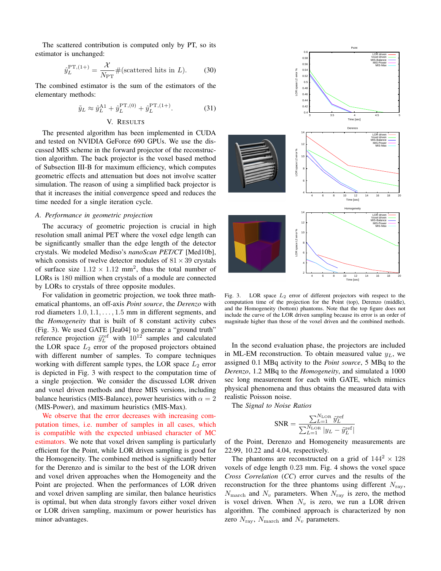The scattered contribution is computed only by PT, so its estimator is unchanged:

$$
\hat{y}_L^{\text{PT},(1+)} = \frac{\mathcal{X}}{N_{\text{PT}}} \# \text{(scattered hits in } L). \tag{30}
$$

The combined estimator is the sum of the estimators of the elementary methods:

$$
\tilde{y}_L \approx \hat{y}_L^{\text{A1}} + \hat{y}_L^{\text{PT},(0)} + \hat{y}_L^{\text{PT},(1+)}. \tag{31}
$$
\n
$$
\text{V. RESULTS}
$$

# The presented algorithm has been implemented in CUDA and tested on NVIDIA GeForce 690 GPUs. We use the discussed MIS scheme in the forward projector of the reconstruction algorithm. The back projector is the voxel based method of Subsection III-B for maximum efficiency, which computes geometric effects and attenuation but does not involve scatter simulation. The reason of using a simplified back projector is that it increases the initial convergence speed and reduces the time needed for a single iteration cycle.

# *A. Performance in geometric projection*

The accuracy of geometric projection is crucial in high resolution small animal PET where the voxel edge length can be significantly smaller than the edge length of the detector crystals. We modeled Mediso's *nanoScan PET/CT* [Med10b], which consists of twelve detector modules of  $81 \times 39$  crystals of surface size  $1.12 \times 1.12$  mm<sup>2</sup>, thus the total number of LORs is 180 million when crystals of a module are connected by LORs to crystals of three opposite modules.

For validation in geometric projection, we took three mathematical phantoms, an off-axis *Point source*, the *Derenzo* with rod diameters 1*.*0*,* 1*.*1*, . . . ,* 1*.*5 mm in different segments, and the *Homogeneity* that is built of 8 constant activity cubes (Fig. 3). We used GATE [Jea04] to generate a "ground truth" reference projection  $\tilde{y}^{\text{ref}}_L$  with  $10^{12}$  samples and calculated the LOR space  $L_2$  error of the proposed projectors obtained with different number of samples. To compare techniques working with different sample types, the LOR space  $L_2$  error is depicted in Fig. 3 with respect to the computation time of a single projection. We consider the discussed LOR driven and voxel driven methods and three MIS versions, including balance heuristics (MIS-Balance), power heuristics with  $\alpha = 2$ (MIS-Power), and maximum heuristics (MIS-Max).

We observe that the error decreases with increasing computation times, i.e. number of samples in all cases, which is compatible with the expected unbiased character of MC estimators. We note that voxel driven sampling is particularly efficient for the Point, while LOR driven sampling is good for the Homogeneity. The combined method is significantly better for the Derenzo and is similar to the best of the LOR driven and voxel driven approaches when the Homogeneity and the Point are projected. When the performances of LOR driven and voxel driven sampling are similar, then balance heuristics is optimal, but when data strongly favors either voxel driven or LOR driven sampling, maximum or power heuristics has minor advantages.



Fig. 3. LOR space  $L_2$  error of different projectors with respect to the computation time of the projection for the Point (top), Derenzo (middle), and the Homogeneity (bottom) phantoms. Note that the top figure does not include the curve of the LOR driven sampling because its error is an order of magnitude higher than those of the voxel driven and the combined methods.

In the second evaluation phase, the projectors are included in ML-EM reconstruction. To obtain measured value *yL*, we assigned 0.1 MBq activity to the *Point source*, 5 MBq to the *Derenzo*, 1.2 MBq to the *Homogeneity*, and simulated a 1000 sec long measurement for each with GATE, which mimics physical phenomena and thus obtains the measured data with realistic Poisson noise.

The *Signal to Noise Ratios*

$$
\text{SNR} = \frac{\sum_{L=1}^{N_{\rm{LOR}}} \tilde{y}_L^{\rm{ref}}}{\sum_{L=1}^{N_{\rm{LOR}}} |y_L - \tilde{y}_L^{\rm{ref}}|}
$$

of the Point, Derenzo and Homogeneity measurements are 22.99, 10.22 and 4.04, respectively.

The phantoms are reconstructed on a grid of  $144^2 \times 128$ voxels of edge length 0*.*23 mm. Fig. 4 shows the voxel space *Cross Correlation* (*CC*) error curves and the results of the reconstruction for the three phantoms using different  $N_{\text{rav}}$ ,  $N_{\text{march}}$  and  $N_v$  parameters. When  $N_{\text{ray}}$  is zero, the method is voxel driven. When  $N_v$  is zero, we run a LOR driven algorithm. The combined approach is characterized by non zero  $N_{\text{ray}}, N_{\text{march}}$  and  $N_v$  parameters.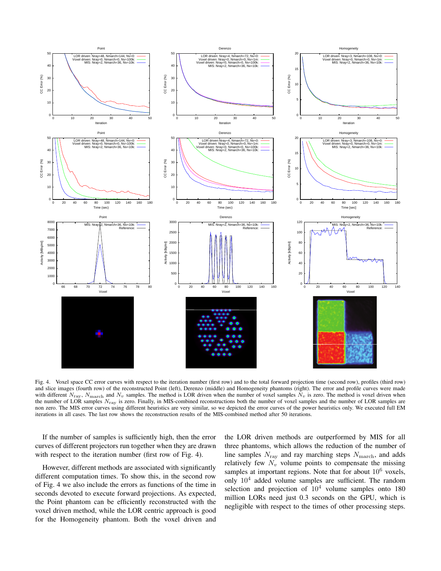

Fig. 4. Voxel space CC error curves with respect to the iteration number (first row) and to the total forward projection time (second row), profiles (third row) and slice images (fourth row) of the reconstructed Point (left), Derenzo (middle) and Homogeneity phantoms (right). The error and profile curves were made with different  $N_{\text{ray}}$ ,  $N_{\text{macro}}$  and  $N_v$  samples. The method is LOR driven when the number of voxel samples  $N_v$  is zero. The method is voxel driven when the number of LOR samples  $N_{\text{rav}}$  is zero. Finally, in MIS-combined reconstructions both the number of voxel samples and the number of LOR samples are non zero. The MIS error curves using different heuristics are very similar, so we depicted the error curves of the power heuristics only. We executed full EM iterations in all cases. The last row shows the reconstruction results of the MIS-combined method after 50 iterations.

If the number of samples is sufficiently high, then the error curves of different projectors run together when they are drawn with respect to the iteration number (first row of Fig. 4).

However, different methods are associated with significantly different computation times. To show this, in the second row of Fig. 4 we also include the errors as functions of the time in seconds devoted to execute forward projections. As expected, the Point phantom can be efficiently reconstructed with the voxel driven method, while the LOR centric approach is good for the Homogeneity phantom. Both the voxel driven and the LOR driven methods are outperformed by MIS for all three phantoms, which allows the reduction of the number of line samples  $N_{\text{ray}}$  and ray marching steps  $N_{\text{march}}$ , and adds relatively few  $N_v$  volume points to compensate the missing samples at important regions. Note that for about  $10^6$  voxels, only  $10<sup>4</sup>$  added volume samples are sufficient. The random selection and projection of  $10<sup>4</sup>$  volume samples onto 180 million LORs need just 0.3 seconds on the GPU, which is negligible with respect to the times of other processing steps.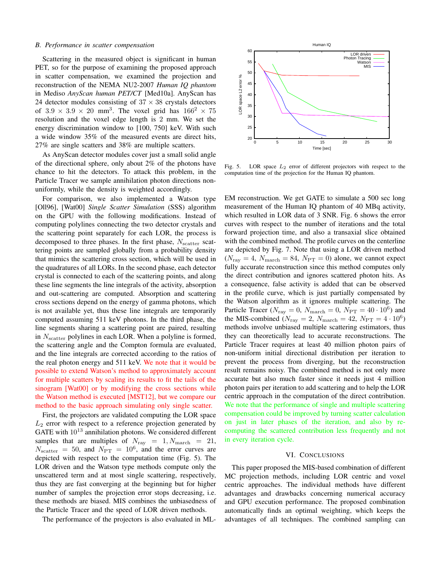#### *B. Performance in scatter compensation*

Scattering in the measured object is significant in human PET, so for the purpose of examining the proposed approach in scatter compensation, we examined the projection and reconstruction of the NEMA NU2-2007 *Human IQ phantom* in Mediso *AnyScan human PET/CT* [Med10a]. AnyScan has 24 detector modules consisting of  $37 \times 38$  crystals detectors of  $3.9 \times 3.9 \times 20$  mm<sup>3</sup>. The voxel grid has  $166^2 \times 75$ resolution and the voxel edge length is 2 mm. We set the energy discrimination window to [100, 750] keV. With such a wide window 35% of the measured events are direct hits, 27% are single scatters and 38% are multiple scatters.

As AnyScan detector modules cover just a small solid angle of the directional sphere, only about 2% of the photons have chance to hit the detectors. To attack this problem, in the Particle Tracer we sample annihilation photon directions nonuniformly, while the density is weighted accordingly.

For comparison, we also implemented a Watson type [Oll96], [Wat00] *Single Scatter Simulation* (SSS) algorithm on the GPU with the following modifications. Instead of computing polylines connecting the two detector crystals and the scattering point separately for each LOR, the process is decomposed to three phases. In the first phase,  $N_{\text{scatter}}$  scattering points are sampled globally from a probability density that mimics the scattering cross section, which will be used in the quadratures of all LORs. In the second phase, each detector crystal is connected to each of the scattering points, and along these line segments the line integrals of the activity, absorption and out-scattering are computed. Absorption and scattering cross sections depend on the energy of gamma photons, which is not available yet, thus these line integrals are temporarily computed assuming 511 keV photons. In the third phase, the line segments sharing a scattering point are paired, resulting in *N*<sub>scatter</sub> polylines in each LOR. When a polyline is formed, the scattering angle and the Compton formula are evaluated, and the line integrals are corrected according to the ratios of the real photon energy and 511 keV. We note that it would be possible to extend Watson's method to approximately account for multiple scatters by scaling its results to fit the tails of the sinogram [Wat00] or by modifying the cross sections while the Watson method is executed [MST12], but we compare our method to the basic approach simulating only single scatter.

First, the projectors are validated computing the LOR space *L*<sup>2</sup> error with respect to a reference projection generated by GATE with  $10^{13}$  annihilation photons. We considered different samples that are multiples of  $N_{\text{ray}} = 1, N_{\text{march}} = 21$ ,  $N_{\text{scatter}} = 50$ , and  $N_{\text{PT}} = 10^6$ , and the error curves are depicted with respect to the computation time (Fig. 5). The LOR driven and the Watson type methods compute only the unscattered term and at most single scattering, respectively, thus they are fast converging at the beginning but for higher number of samples the projection error stops decreasing, i.e. these methods are biased. MIS combines the unbiasedness of the Particle Tracer and the speed of LOR driven methods.

The performance of the projectors is also evaluated in ML-



Fig. 5. LOR space *L*<sup>2</sup> error of different projectors with respect to the computation time of the projection for the Human IQ phantom.

EM reconstruction. We get GATE to simulate a 500 sec long measurement of the Human IQ phantom of 40 MBq activity, which resulted in LOR data of 3 SNR. Fig. 6 shows the error curves with respect to the number of iterations and the total forward projection time, and also a transaxial slice obtained with the combined method. The profile curves on the centerline are depicted by Fig. 7. Note that using a LOR driven method  $(N_{\text{ray}} = 4, N_{\text{march}} = 84, N_{\text{PT}} = 0)$  alone, we cannot expect fully accurate reconstruction since this method computes only the direct contribution and ignores scattered photon hits. As a consequence, false activity is added that can be observed in the profile curve, which is just partially compensated by the Watson algorithm as it ignores multiple scattering. The Particle Tracer ( $N_{\text{ray}} = 0$ ,  $N_{\text{march}} = 0$ ,  $N_{\text{PT}} = 40 \cdot 10^6$ ) and the MIS-combined ( $N_{\text{ray}} = 2$ ,  $N_{\text{march}} = 42$ ,  $N_{\text{PT}} = 4 \cdot 10^6$ ) methods involve unbiased multiple scattering estimators, thus they can theoretically lead to accurate reconstructions. The Particle Tracer requires at least 40 million photon pairs of non-uniform initial directional distribution per iteration to prevent the process from diverging, but the reconstruction result remains noisy. The combined method is not only more accurate but also much faster since it needs just 4 million photon pairs per iteration to add scattering and to help the LOR centric approach in the computation of the direct contribution. We note that the performance of single and multiple scattering compensation could be improved by turning scatter calculation on just in later phases of the iteration, and also by recomputing the scattered contribution less frequently and not in every iteration cycle.

#### VI. CONCLUSIONS

This paper proposed the MIS-based combination of different MC projection methods, including LOR centric and voxel centric approaches. The individual methods have different advantages and drawbacks concerning numerical accuracy and GPU execution performance. The proposed combination automatically finds an optimal weighting, which keeps the advantages of all techniques. The combined sampling can